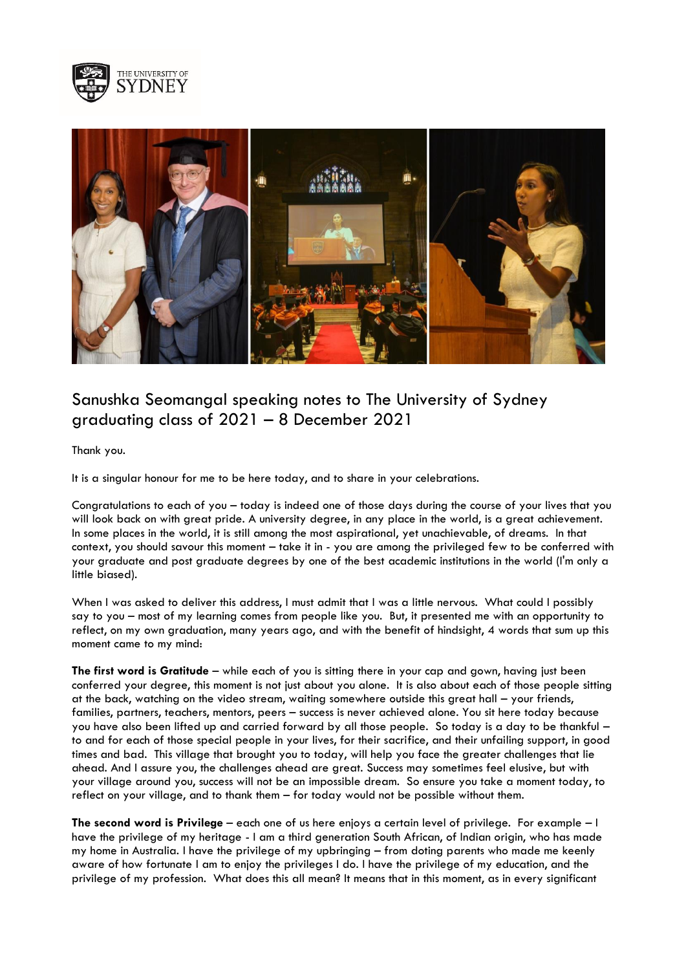



## Sanushka Seomangal speaking notes to The University of Sydney graduating class of 2021 – 8 December 2021

Thank you.

It is a singular honour for me to be here today, and to share in your celebrations.

Congratulations to each of you – today is indeed one of those days during the course of your lives that you will look back on with great pride. A university degree, in any place in the world, is a great achievement. In some places in the world, it is still among the most aspirational, yet unachievable, of dreams. In that context, you should savour this moment – take it in - you are among the privileged few to be conferred with your graduate and post graduate degrees by one of the best academic institutions in the world (I'm only a little biased).

When I was asked to deliver this address, I must admit that I was a little nervous. What could I possibly say to you – most of my learning comes from people like you. But, it presented me with an opportunity to reflect, on my own graduation, many years ago, and with the benefit of hindsight, 4 words that sum up this moment came to my mind:

**The first word is Gratitude** – while each of you is sitting there in your cap and gown, having just been conferred your degree, this moment is not just about you alone. It is also about each of those people sitting at the back, watching on the video stream, waiting somewhere outside this great hall – your friends, families, partners, teachers, mentors, peers – success is never achieved alone. You sit here today because you have also been lifted up and carried forward by all those people. So today is a day to be thankful – to and for each of those special people in your lives, for their sacrifice, and their unfailing support, in good times and bad. This village that brought you to today, will help you face the greater challenges that lie ahead. And I assure you, the challenges ahead are great. Success may sometimes feel elusive, but with your village around you, success will not be an impossible dream. So ensure you take a moment today, to reflect on your village, and to thank them – for today would not be possible without them.

**The second word is Privilege** – each one of us here enjoys a certain level of privilege. For example – I have the privilege of my heritage - I am a third generation South African, of Indian origin, who has made my home in Australia. I have the privilege of my upbringing – from doting parents who made me keenly aware of how fortunate I am to enjoy the privileges I do. I have the privilege of my education, and the privilege of my profession. What does this all mean? It means that in this moment, as in every significant